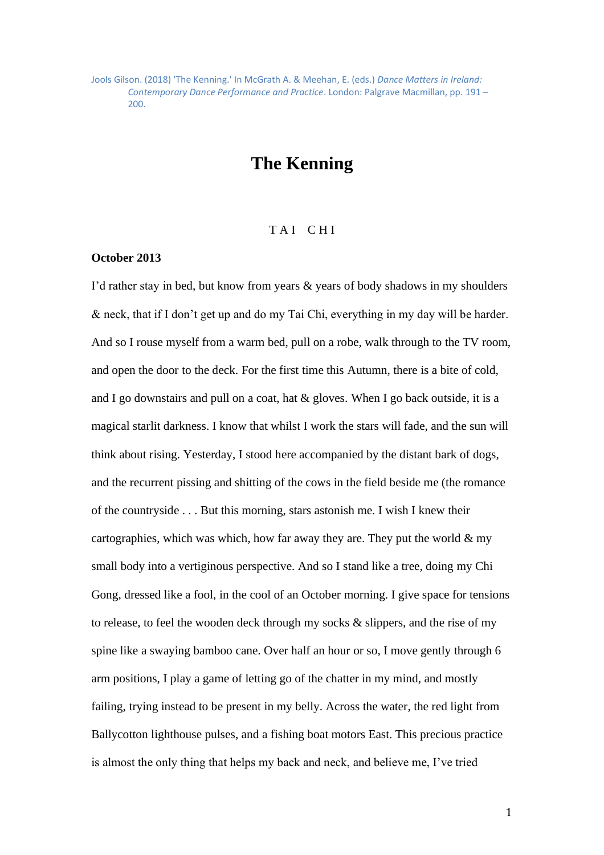Jools Gilson. (2018) 'The Kenning.' In McGrath A. & Meehan, E. (eds.) *Dance Matters in Ireland: Contemporary Dance Performance and Practice*. London: Palgrave Macmillan, pp. 191 – 200.

# **The Kenning**

#### T A I C H I

#### **October 2013**

I'd rather stay in bed, but know from years & years of body shadows in my shoulders & neck, that if I don't get up and do my Tai Chi, everything in my day will be harder. And so I rouse myself from a warm bed, pull on a robe, walk through to the TV room, and open the door to the deck. For the first time this Autumn, there is a bite of cold, and I go downstairs and pull on a coat, hat & gloves. When I go back outside, it is a magical starlit darkness. I know that whilst I work the stars will fade, and the sun will think about rising. Yesterday, I stood here accompanied by the distant bark of dogs, and the recurrent pissing and shitting of the cows in the field beside me (the romance of the countryside . . . But this morning, stars astonish me. I wish I knew their cartographies, which was which, how far away they are. They put the world  $\&$  my small body into a vertiginous perspective. And so I stand like a tree, doing my Chi Gong, dressed like a fool, in the cool of an October morning. I give space for tensions to release, to feel the wooden deck through my socks & slippers, and the rise of my spine like a swaying bamboo cane. Over half an hour or so, I move gently through 6 arm positions, I play a game of letting go of the chatter in my mind, and mostly failing, trying instead to be present in my belly. Across the water, the red light from Ballycotton lighthouse pulses, and a fishing boat motors East. This precious practice is almost the only thing that helps my back and neck, and believe me, I've tried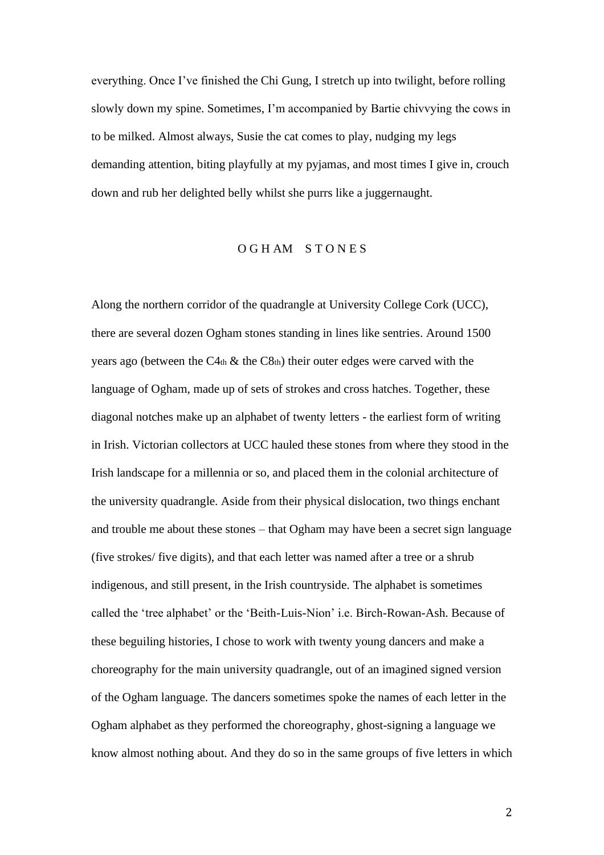everything. Once I've finished the Chi Gung, I stretch up into twilight, before rolling slowly down my spine. Sometimes, I'm accompanied by Bartie chivvying the cows in to be milked. Almost always, Susie the cat comes to play, nudging my legs demanding attention, biting playfully at my pyjamas, and most times I give in, crouch down and rub her delighted belly whilst she purrs like a juggernaught.

#### O G H AM S T O N E S

Along the northern corridor of the quadrangle at University College Cork (UCC), there are several dozen Ogham stones standing in lines like sentries. Around 1500 years ago (between the  $C4<sub>th</sub>$  & the  $C8<sub>th</sub>$ ) their outer edges were carved with the language of Ogham, made up of sets of strokes and cross hatches. Together, these diagonal notches make up an alphabet of twenty letters - the earliest form of writing in Irish. Victorian collectors at UCC hauled these stones from where they stood in the Irish landscape for a millennia or so, and placed them in the colonial architecture of the university quadrangle. Aside from their physical dislocation, two things enchant and trouble me about these stones – that Ogham may have been a secret sign language (five strokes/ five digits), and that each letter was named after a tree or a shrub indigenous, and still present, in the Irish countryside. The alphabet is sometimes called the 'tree alphabet' or the 'Beith-Luis-Nion' i.e. Birch-Rowan-Ash. Because of these beguiling histories, I chose to work with twenty young dancers and make a choreography for the main university quadrangle, out of an imagined signed version of the Ogham language. The dancers sometimes spoke the names of each letter in the Ogham alphabet as they performed the choreography, ghost-signing a language we know almost nothing about. And they do so in the same groups of five letters in which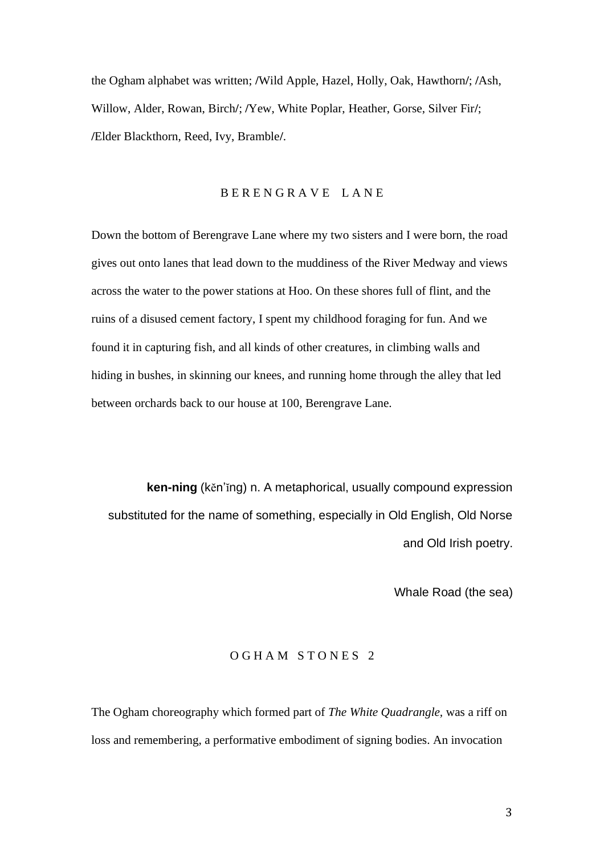the Ogham alphabet was written; **/**Wild Apple, Hazel, Holly, Oak, Hawthorn**/**; **/**Ash, Willow, Alder, Rowan, Birch**/**; **/**Yew, White Poplar, Heather, Gorse, Silver Fir**/**; **/**Elder Blackthorn, Reed, Ivy, Bramble**/**.

#### B E R E N G R A V E L A N E

Down the bottom of Berengrave Lane where my two sisters and I were born, the road gives out onto lanes that lead down to the muddiness of the River Medway and views across the water to the power stations at Hoo. On these shores full of flint, and the ruins of a disused cement factory, I spent my childhood foraging for fun. And we found it in capturing fish, and all kinds of other creatures, in climbing walls and hiding in bushes, in skinning our knees, and running home through the alley that led between orchards back to our house at 100, Berengrave Lane.

**ken-ning** (kĕn'ĭng) n. A metaphorical, usually compound expression substituted for the name of something, especially in Old English, Old Norse and Old Irish poetry.

Whale Road (the sea)

### OGHAM STONES 2

The Ogham choreography which formed part of *The White Quadrangle,* was a riff on loss and remembering, a performative embodiment of signing bodies. An invocation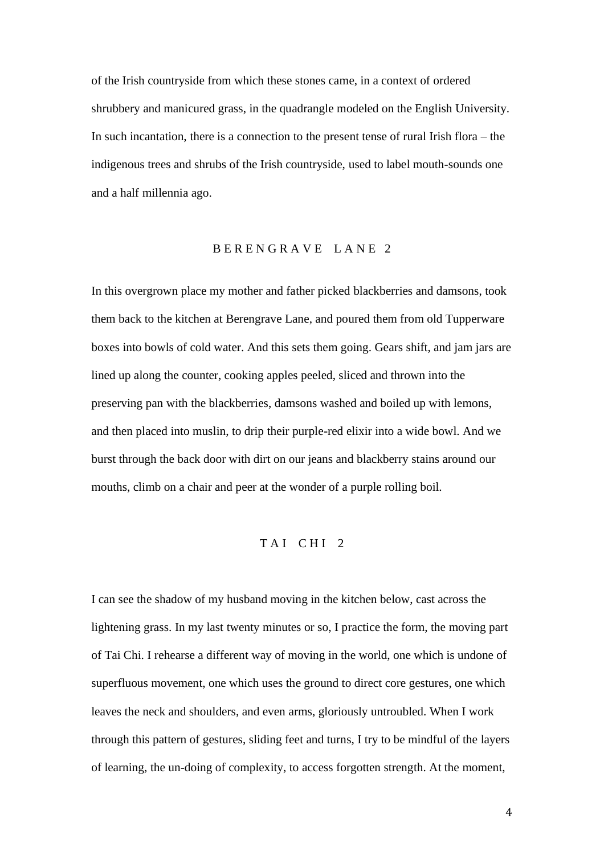of the Irish countryside from which these stones came, in a context of ordered shrubbery and manicured grass, in the quadrangle modeled on the English University. In such incantation, there is a connection to the present tense of rural Irish flora – the indigenous trees and shrubs of the Irish countryside, used to label mouth-sounds one and a half millennia ago.

#### B E R E N G R A V E L A N E 2

In this overgrown place my mother and father picked blackberries and damsons, took them back to the kitchen at Berengrave Lane, and poured them from old Tupperware boxes into bowls of cold water. And this sets them going. Gears shift, and jam jars are lined up along the counter, cooking apples peeled, sliced and thrown into the preserving pan with the blackberries, damsons washed and boiled up with lemons, and then placed into muslin, to drip their purple-red elixir into a wide bowl. And we burst through the back door with dirt on our jeans and blackberry stains around our mouths, climb on a chair and peer at the wonder of a purple rolling boil.

# TAI CHI 2

I can see the shadow of my husband moving in the kitchen below, cast across the lightening grass. In my last twenty minutes or so, I practice the form, the moving part of Tai Chi. I rehearse a different way of moving in the world, one which is undone of superfluous movement, one which uses the ground to direct core gestures, one which leaves the neck and shoulders, and even arms, gloriously untroubled. When I work through this pattern of gestures, sliding feet and turns, I try to be mindful of the layers of learning, the un-doing of complexity, to access forgotten strength. At the moment,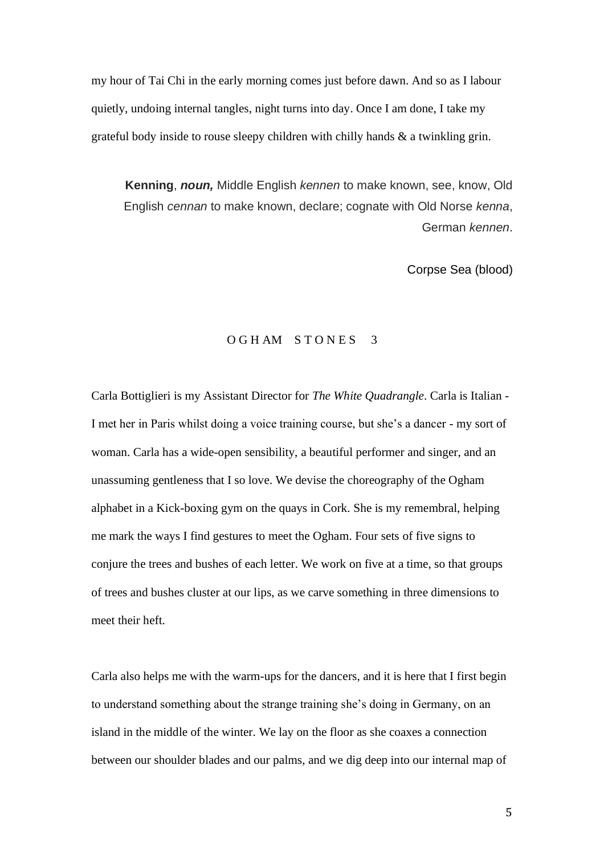my hour of Tai Chi in the early morning comes just before dawn. And so as I labour quietly, undoing internal tangles, night turns into day. Once I am done, I take my grateful body inside to rouse sleepy children with chilly hands & a twinkling grin.

**Kenning**, *noun,* Middle English *kennen* to make known, see, know, Old English *cennan* to make known, declare; cognate with Old Norse *kenna*, German *kennen*.

Corpse Sea (blood)

#### OGHAM STONES 3

Carla Bottiglieri is my Assistant Director for *The White Quadrangle*. Carla is Italian - I met her in Paris whilst doing a voice training course, but she's a dancer - my sort of woman. Carla has a wide-open sensibility, a beautiful performer and singer, and an unassuming gentleness that I so love. We devise the choreography of the Ogham alphabet in a Kick-boxing gym on the quays in Cork. She is my remembral, helping me mark the ways I find gestures to meet the Ogham. Four sets of five signs to conjure the trees and bushes of each letter. We work on five at a time, so that groups of trees and bushes cluster at our lips, as we carve something in three dimensions to meet their heft.

Carla also helps me with the warm-ups for the dancers, and it is here that I first begin to understand something about the strange training she's doing in Germany, on an island in the middle of the winter. We lay on the floor as she coaxes a connection between our shoulder blades and our palms, and we dig deep into our internal map of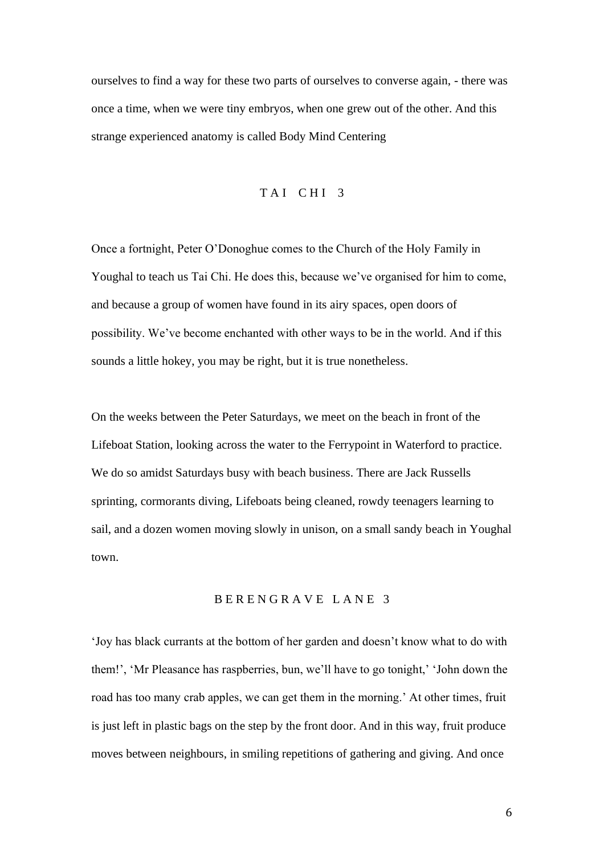ourselves to find a way for these two parts of ourselves to converse again, - there was once a time, when we were tiny embryos, when one grew out of the other. And this strange experienced anatomy is called Body Mind Centering

#### TAI CHI 3

Once a fortnight, Peter O'Donoghue comes to the Church of the Holy Family in Youghal to teach us Tai Chi. He does this, because we've organised for him to come, and because a group of women have found in its airy spaces, open doors of possibility. We've become enchanted with other ways to be in the world. And if this sounds a little hokey, you may be right, but it is true nonetheless.

On the weeks between the Peter Saturdays, we meet on the beach in front of the Lifeboat Station, looking across the water to the Ferrypoint in Waterford to practice. We do so amidst Saturdays busy with beach business. There are Jack Russells sprinting, cormorants diving, Lifeboats being cleaned, rowdy teenagers learning to sail, and a dozen women moving slowly in unison, on a small sandy beach in Youghal town.

# B E R E N G R A V E L A N E 3

'Joy has black currants at the bottom of her garden and doesn't know what to do with them!', 'Mr Pleasance has raspberries, bun, we'll have to go tonight,' 'John down the road has too many crab apples, we can get them in the morning.' At other times, fruit is just left in plastic bags on the step by the front door. And in this way, fruit produce moves between neighbours, in smiling repetitions of gathering and giving. And once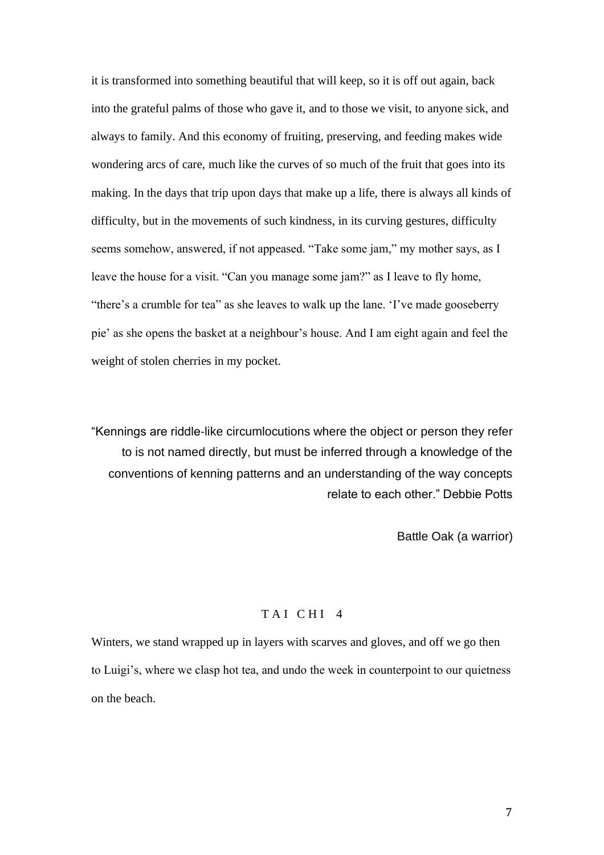it is transformed into something beautiful that will keep, so it is off out again, back into the grateful palms of those who gave it, and to those we visit, to anyone sick, and always to family. And this economy of fruiting, preserving, and feeding makes wide wondering arcs of care, much like the curves of so much of the fruit that goes into its making. In the days that trip upon days that make up a life, there is always all kinds of difficulty, but in the movements of such kindness, in its curving gestures, difficulty seems somehow, answered, if not appeased. "Take some jam," my mother says, as I leave the house for a visit. "Can you manage some jam?" as I leave to fly home, "there's a crumble for tea" as she leaves to walk up the lane. 'I've made gooseberry pie' as she opens the basket at a neighbour's house. And I am eight again and feel the weight of stolen cherries in my pocket.

"Kennings are riddle‐like circumlocutions where the object or person they refer to is not named directly, but must be inferred through a knowledge of the conventions of kenning patterns and an understanding of the way concepts relate to each other." Debbie Potts

Battle Oak (a warrior)

## TAI CHI 4

Winters, we stand wrapped up in layers with scarves and gloves, and off we go then to Luigi's, where we clasp hot tea, and undo the week in counterpoint to our quietness on the beach.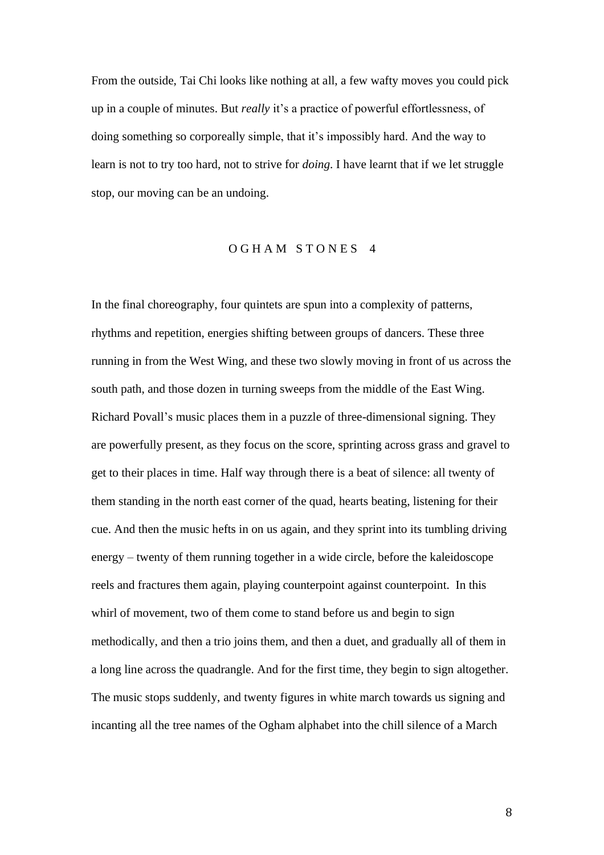From the outside, Tai Chi looks like nothing at all, a few wafty moves you could pick up in a couple of minutes. But *really* it's a practice of powerful effortlessness, of doing something so corporeally simple, that it's impossibly hard. And the way to learn is not to try too hard, not to strive for *doing*. I have learnt that if we let struggle stop, our moving can be an undoing.

#### OGHAM STONES 4

In the final choreography, four quintets are spun into a complexity of patterns, rhythms and repetition, energies shifting between groups of dancers. These three running in from the West Wing, and these two slowly moving in front of us across the south path, and those dozen in turning sweeps from the middle of the East Wing. Richard Povall's music places them in a puzzle of three-dimensional signing. They are powerfully present, as they focus on the score, sprinting across grass and gravel to get to their places in time. Half way through there is a beat of silence: all twenty of them standing in the north east corner of the quad, hearts beating, listening for their cue. And then the music hefts in on us again, and they sprint into its tumbling driving energy – twenty of them running together in a wide circle, before the kaleidoscope reels and fractures them again, playing counterpoint against counterpoint. In this whirl of movement, two of them come to stand before us and begin to sign methodically, and then a trio joins them, and then a duet, and gradually all of them in a long line across the quadrangle. And for the first time, they begin to sign altogether. The music stops suddenly, and twenty figures in white march towards us signing and incanting all the tree names of the Ogham alphabet into the chill silence of a March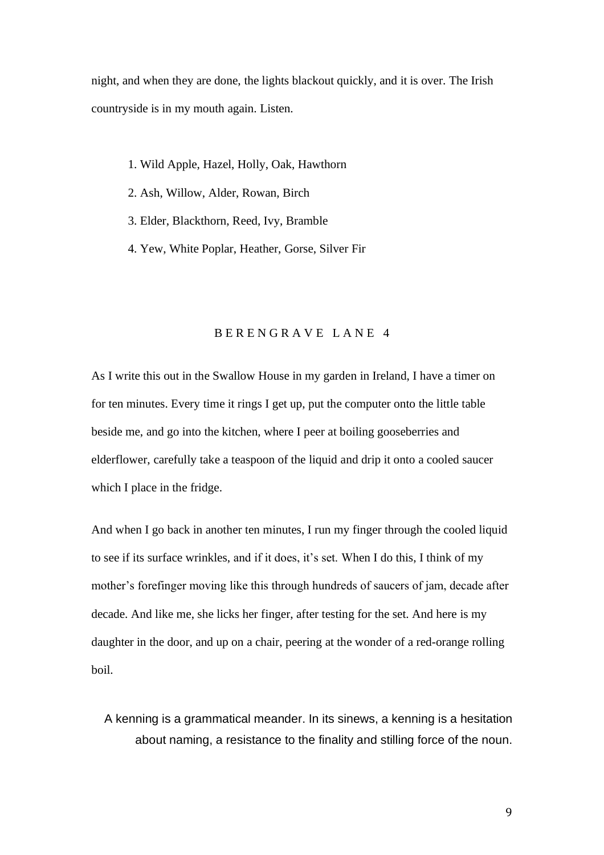night, and when they are done, the lights blackout quickly, and it is over. The Irish countryside is in my mouth again. Listen.

- 1. Wild Apple, Hazel, Holly, Oak, Hawthorn
- 2. Ash, Willow, Alder, Rowan, Birch
- 3. Elder, Blackthorn, Reed, Ivy, Bramble
- 4. Yew, White Poplar, Heather, Gorse, Silver Fir

#### B E R E N G R A V E L A N E 4

As I write this out in the Swallow House in my garden in Ireland, I have a timer on for ten minutes. Every time it rings I get up, put the computer onto the little table beside me, and go into the kitchen, where I peer at boiling gooseberries and elderflower, carefully take a teaspoon of the liquid and drip it onto a cooled saucer which I place in the fridge.

And when I go back in another ten minutes, I run my finger through the cooled liquid to see if its surface wrinkles, and if it does, it's set. When I do this, I think of my mother's forefinger moving like this through hundreds of saucers of jam, decade after decade. And like me, she licks her finger, after testing for the set. And here is my daughter in the door, and up on a chair, peering at the wonder of a red-orange rolling boil.

A kenning is a grammatical meander. In its sinews, a kenning is a hesitation about naming, a resistance to the finality and stilling force of the noun.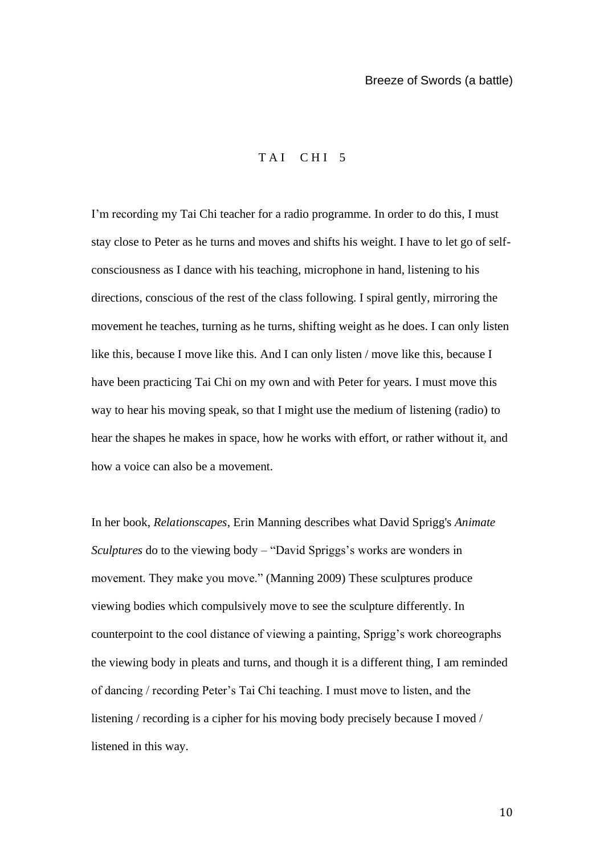#### TAI CHI 5

I'm recording my Tai Chi teacher for a radio programme. In order to do this, I must stay close to Peter as he turns and moves and shifts his weight. I have to let go of selfconsciousness as I dance with his teaching, microphone in hand, listening to his directions, conscious of the rest of the class following. I spiral gently, mirroring the movement he teaches, turning as he turns, shifting weight as he does. I can only listen like this, because I move like this. And I can only listen / move like this, because I have been practicing Tai Chi on my own and with Peter for years. I must move this way to hear his moving speak, so that I might use the medium of listening (radio) to hear the shapes he makes in space, how he works with effort, or rather without it, and how a voice can also be a movement.

In her book, *Relationscapes*, Erin Manning describes what David Sprigg's *Animate Sculptures* do to the viewing body – "David Spriggs's works are wonders in movement. They make you move." (Manning 2009) These sculptures produce viewing bodies which compulsively move to see the sculpture differently. In counterpoint to the cool distance of viewing a painting, Sprigg's work choreographs the viewing body in pleats and turns, and though it is a different thing, I am reminded of dancing / recording Peter's Tai Chi teaching. I must move to listen, and the listening / recording is a cipher for his moving body precisely because I moved / listened in this way.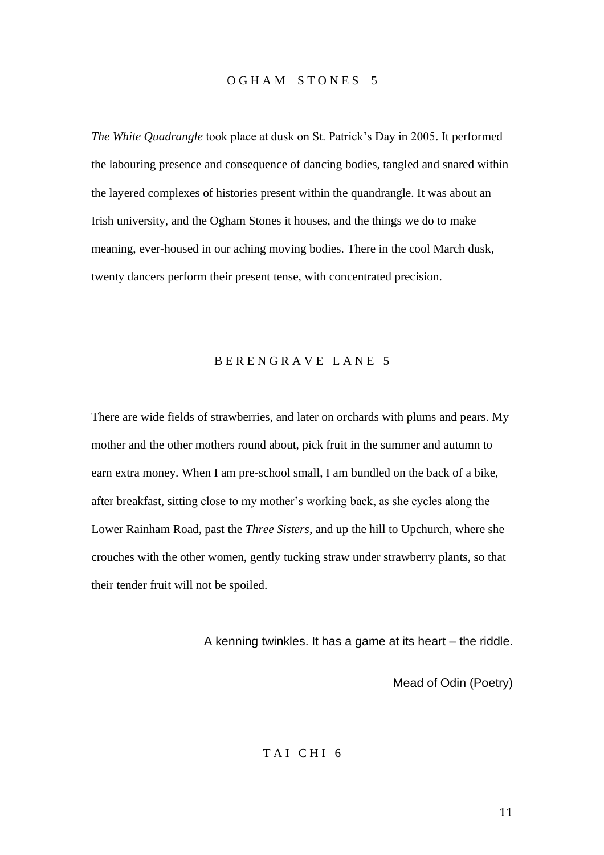#### OGHAM STONES 5

*The White Quadrangle* took place at dusk on St. Patrick's Day in 2005. It performed the labouring presence and consequence of dancing bodies, tangled and snared within the layered complexes of histories present within the quandrangle. It was about an Irish university, and the Ogham Stones it houses, and the things we do to make meaning, ever-housed in our aching moving bodies. There in the cool March dusk, twenty dancers perform their present tense, with concentrated precision.

## B E R E N G R A V E L A N E 5

There are wide fields of strawberries, and later on orchards with plums and pears. My mother and the other mothers round about, pick fruit in the summer and autumn to earn extra money. When I am pre-school small, I am bundled on the back of a bike, after breakfast, sitting close to my mother's working back, as she cycles along the Lower Rainham Road, past the *Three Sisters*, and up the hill to Upchurch, where she crouches with the other women, gently tucking straw under strawberry plants, so that their tender fruit will not be spoiled.

A kenning twinkles. It has a game at its heart – the riddle.

Mead of Odin (Poetry)

## TAI CHI 6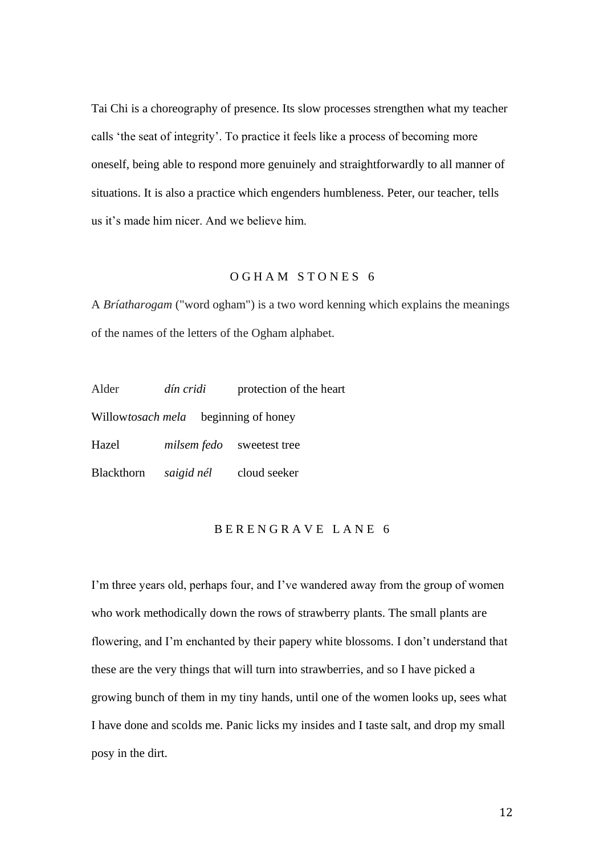Tai Chi is a choreography of presence. Its slow processes strengthen what my teacher calls 'the seat of integrity'. To practice it feels like a process of becoming more oneself, being able to respond more genuinely and straightforwardly to all manner of situations. It is also a practice which engenders humbleness. Peter, our teacher, tells us it's made him nicer. And we believe him.

#### O G H A M S T O N E S 6

A *Bríatharogam* ("word ogham") is a two word kenning which explains the meanings of the names of the letters of the Ogham alphabet.

| Alder | dín cridi                                    | protection of the heart |
|-------|----------------------------------------------|-------------------------|
|       | Willow <i>tosach mela</i> beginning of honey |                         |
| Hazel | <i>milsem fedo</i> sweetest tree             |                         |
|       | Blackthorn <i>saigid nél</i> cloud seeker    |                         |

# B E R E N G R A V E L A N E 6

I'm three years old, perhaps four, and I've wandered away from the group of women who work methodically down the rows of strawberry plants. The small plants are flowering, and I'm enchanted by their papery white blossoms. I don't understand that these are the very things that will turn into strawberries, and so I have picked a growing bunch of them in my tiny hands, until one of the women looks up, sees what I have done and scolds me. Panic licks my insides and I taste salt, and drop my small posy in the dirt.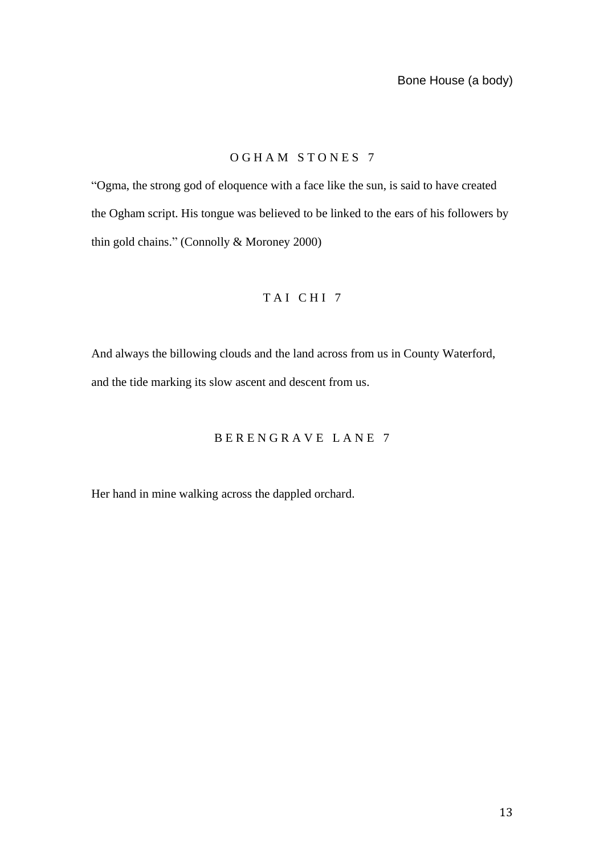# OGHAM STONES 7

"Ogma, the strong god of eloquence with a face like the sun, is said to have created the Ogham script. His tongue was believed to be linked to the ears of his followers by thin gold chains." (Connolly & Moroney 2000)

# TAI CHI 7

And always the billowing clouds and the land across from us in County Waterford, and the tide marking its slow ascent and descent from us.

# B E R E N G R A V E L A N E 7

Her hand in mine walking across the dappled orchard.